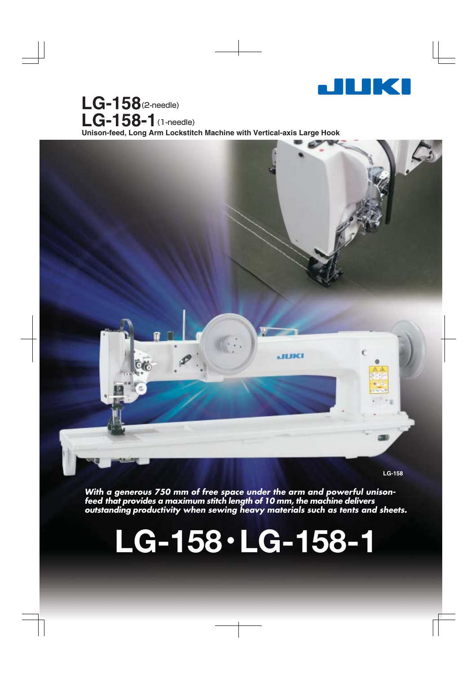

Unison-feed, Long Arm Lockstitch Machine with Vertical-axis Large Hook **LG-158**(2-needle) **LG-158-1**(1-needle)



**LG-158**

**With a generous 750 mm of free space under the arm and powerful unisonfeed that provides a maximum stitch length of 10 mm, the machine delivers outstanding productivity when sewing heavy materials such as tents and sheets.**

# **LG-158**・**LG-158-1**